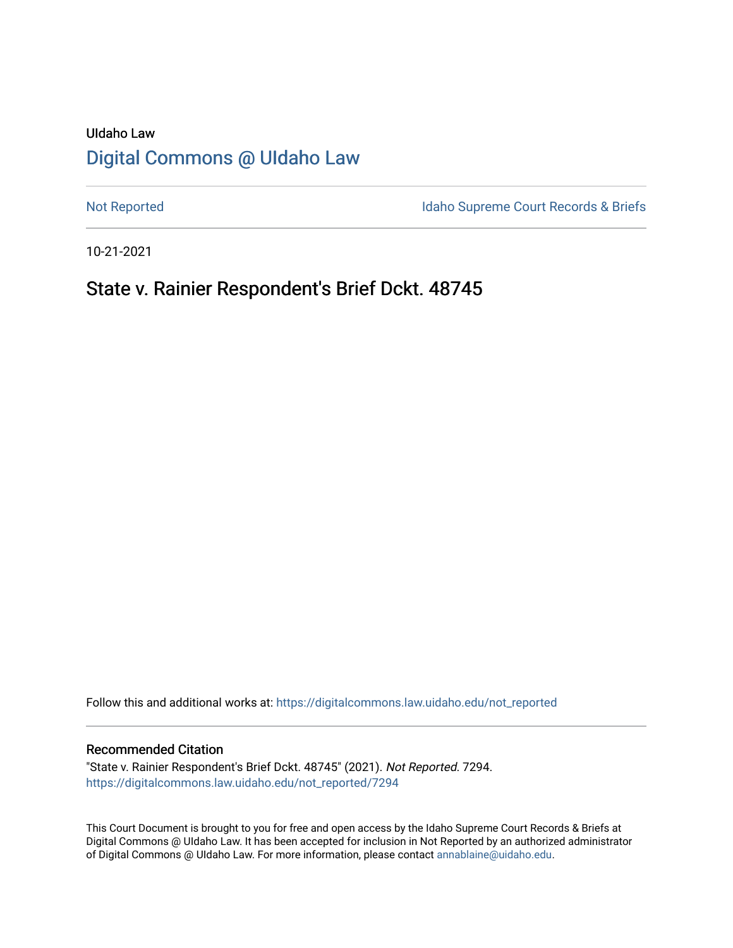# UIdaho Law [Digital Commons @ UIdaho Law](https://digitalcommons.law.uidaho.edu/)

[Not Reported](https://digitalcommons.law.uidaho.edu/not_reported) **Idaho Supreme Court Records & Briefs** 

10-21-2021

## State v. Rainier Respondent's Brief Dckt. 48745

Follow this and additional works at: [https://digitalcommons.law.uidaho.edu/not\\_reported](https://digitalcommons.law.uidaho.edu/not_reported?utm_source=digitalcommons.law.uidaho.edu%2Fnot_reported%2F7294&utm_medium=PDF&utm_campaign=PDFCoverPages) 

#### Recommended Citation

"State v. Rainier Respondent's Brief Dckt. 48745" (2021). Not Reported. 7294. [https://digitalcommons.law.uidaho.edu/not\\_reported/7294](https://digitalcommons.law.uidaho.edu/not_reported/7294?utm_source=digitalcommons.law.uidaho.edu%2Fnot_reported%2F7294&utm_medium=PDF&utm_campaign=PDFCoverPages)

This Court Document is brought to you for free and open access by the Idaho Supreme Court Records & Briefs at Digital Commons @ UIdaho Law. It has been accepted for inclusion in Not Reported by an authorized administrator of Digital Commons @ UIdaho Law. For more information, please contact [annablaine@uidaho.edu](mailto:annablaine@uidaho.edu).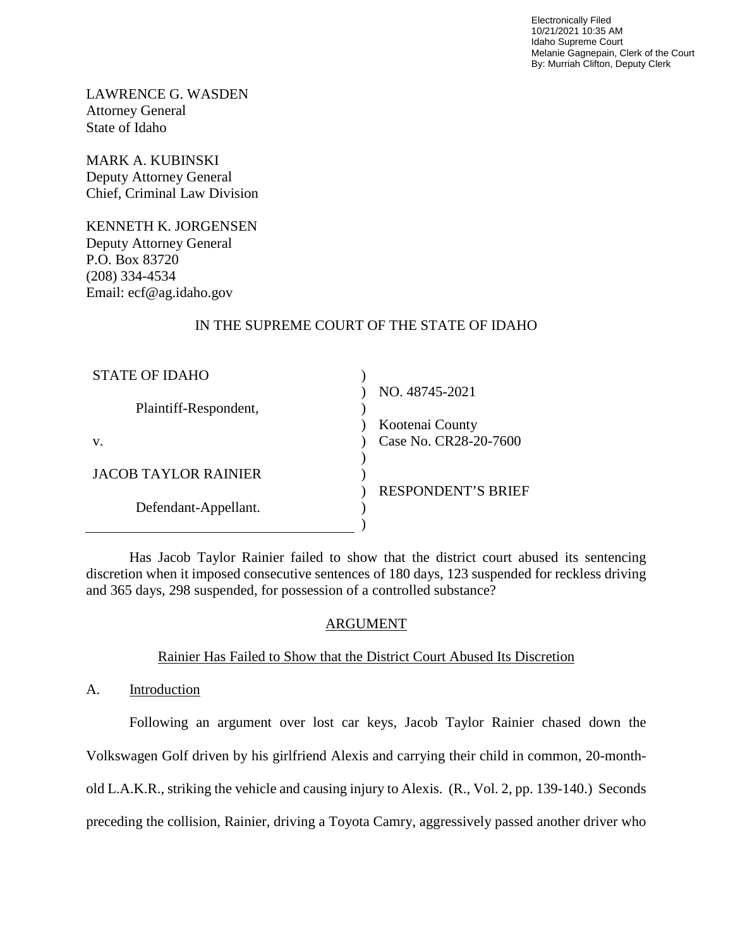Electronically Filed 10/21/2021 10:35 AM Idaho Supreme Court Melanie Gagnepain, Clerk of the Court By: Murriah Clifton, Deputy Clerk

LAWRENCE G. WASDEN Attorney General State of Idaho

MARK A. KUBINSKI Deputy Attorney General Chief, Criminal Law Division

KENNETH K. JORGENSEN Deputy Attorney General P.O. Box 83720 (208) 334-4534 Email: ecf@ag.idaho.gov

## IN THE SUPREME COURT OF THE STATE OF IDAHO

| STATE OF IDAHO        |                           |
|-----------------------|---------------------------|
|                       | NO. 48745-2021            |
| Plaintiff-Respondent, |                           |
|                       | Kootenai County           |
| V.                    | Case No. CR28-20-7600     |
|                       |                           |
| JACOB TAYLOR RAINIER  |                           |
|                       | <b>RESPONDENT'S BRIEF</b> |
| Defendant-Appellant.  |                           |
|                       |                           |

Has Jacob Taylor Rainier failed to show that the district court abused its sentencing discretion when it imposed consecutive sentences of 180 days, 123 suspended for reckless driving and 365 days, 298 suspended, for possession of a controlled substance?

## ARGUMENT

## Rainier Has Failed to Show that the District Court Abused Its Discretion

A. Introduction

Following an argument over lost car keys, Jacob Taylor Rainier chased down the Volkswagen Golf driven by his girlfriend Alexis and carrying their child in common, 20-monthold L.A.K.R., striking the vehicle and causing injury to Alexis. (R., Vol. 2, pp. 139-140.) Seconds preceding the collision, Rainier, driving a Toyota Camry, aggressively passed another driver who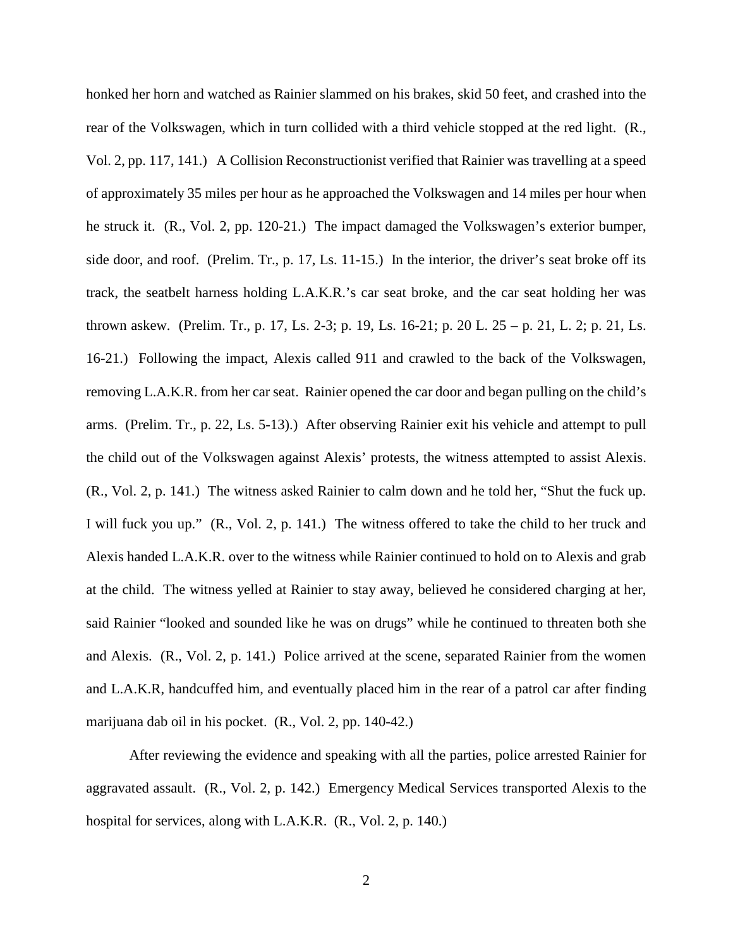honked her horn and watched as Rainier slammed on his brakes, skid 50 feet, and crashed into the rear of the Volkswagen, which in turn collided with a third vehicle stopped at the red light. (R., Vol. 2, pp. 117, 141.) A Collision Reconstructionist verified that Rainier was travelling at a speed of approximately 35 miles per hour as he approached the Volkswagen and 14 miles per hour when he struck it. (R., Vol. 2, pp. 120-21.) The impact damaged the Volkswagen's exterior bumper, side door, and roof. (Prelim. Tr., p. 17, Ls. 11-15.) In the interior, the driver's seat broke off its track, the seatbelt harness holding L.A.K.R.'s car seat broke, and the car seat holding her was thrown askew. (Prelim. Tr., p. 17, Ls. 2-3; p. 19, Ls. 16-21; p. 20 L. 25 – p. 21, L. 2; p. 21, Ls. 16-21.) Following the impact, Alexis called 911 and crawled to the back of the Volkswagen, removing L.A.K.R. from her car seat. Rainier opened the car door and began pulling on the child's arms. (Prelim. Tr., p. 22, Ls. 5-13).) After observing Rainier exit his vehicle and attempt to pull the child out of the Volkswagen against Alexis' protests, the witness attempted to assist Alexis. (R., Vol. 2, p. 141.) The witness asked Rainier to calm down and he told her, "Shut the fuck up. I will fuck you up." (R., Vol. 2, p. 141.) The witness offered to take the child to her truck and Alexis handed L.A.K.R. over to the witness while Rainier continued to hold on to Alexis and grab at the child. The witness yelled at Rainier to stay away, believed he considered charging at her, said Rainier "looked and sounded like he was on drugs" while he continued to threaten both she and Alexis. (R., Vol. 2, p. 141.) Police arrived at the scene, separated Rainier from the women and L.A.K.R, handcuffed him, and eventually placed him in the rear of a patrol car after finding marijuana dab oil in his pocket. (R., Vol. 2, pp. 140-42.)

After reviewing the evidence and speaking with all the parties, police arrested Rainier for aggravated assault. (R., Vol. 2, p. 142.) Emergency Medical Services transported Alexis to the hospital for services, along with L.A.K.R. (R., Vol. 2, p. 140.)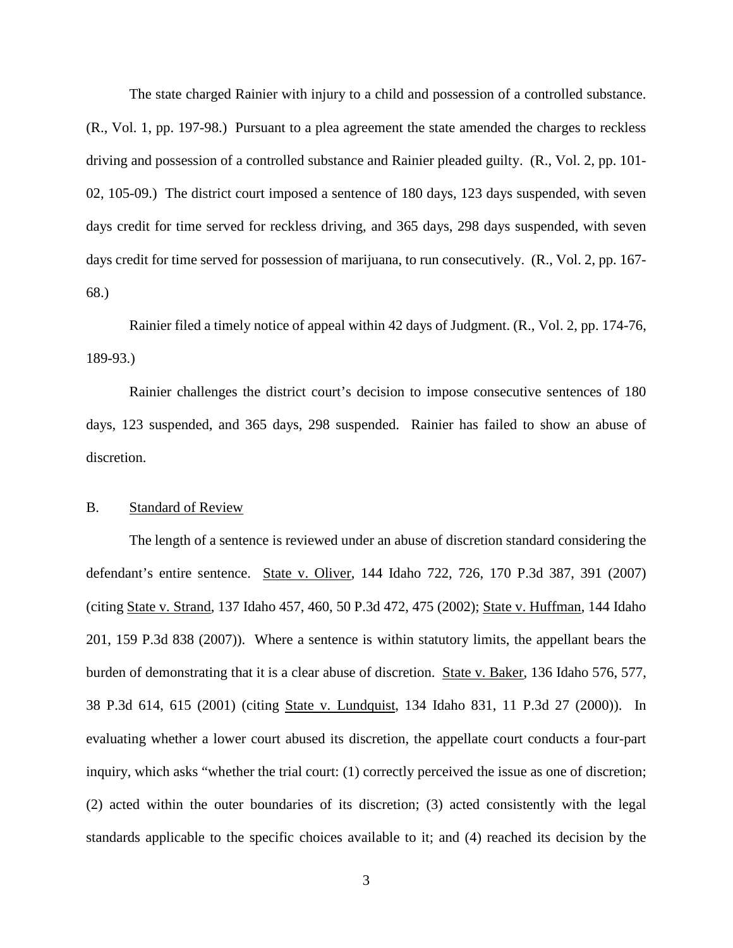The state charged Rainier with injury to a child and possession of a controlled substance. (R., Vol. 1, pp. 197-98.) Pursuant to a plea agreement the state amended the charges to reckless driving and possession of a controlled substance and Rainier pleaded guilty. (R., Vol. 2, pp. 101- 02, 105-09.) The district court imposed a sentence of 180 days, 123 days suspended, with seven days credit for time served for reckless driving, and 365 days, 298 days suspended, with seven days credit for time served for possession of marijuana, to run consecutively. (R., Vol. 2, pp. 167- 68.)

Rainier filed a timely notice of appeal within 42 days of Judgment. (R., Vol. 2, pp. 174-76, 189-93.)

Rainier challenges the district court's decision to impose consecutive sentences of 180 days, 123 suspended, and 365 days, 298 suspended. Rainier has failed to show an abuse of discretion.

#### B. Standard of Review

The length of a sentence is reviewed under an abuse of discretion standard considering the defendant's entire sentence. State v. Oliver, 144 Idaho 722, 726, 170 P.3d 387, 391 (2007) (citing State v. Strand, 137 Idaho 457, 460, 50 P.3d 472, 475 (2002); State v. Huffman, 144 Idaho 201, 159 P.3d 838 (2007)). Where a sentence is within statutory limits, the appellant bears the burden of demonstrating that it is a clear abuse of discretion. State v. Baker, 136 Idaho 576, 577, 38 P.3d 614, 615 (2001) (citing State v. Lundquist, 134 Idaho 831, 11 P.3d 27 (2000)). In evaluating whether a lower court abused its discretion, the appellate court conducts a four-part inquiry, which asks "whether the trial court: (1) correctly perceived the issue as one of discretion; (2) acted within the outer boundaries of its discretion; (3) acted consistently with the legal standards applicable to the specific choices available to it; and (4) reached its decision by the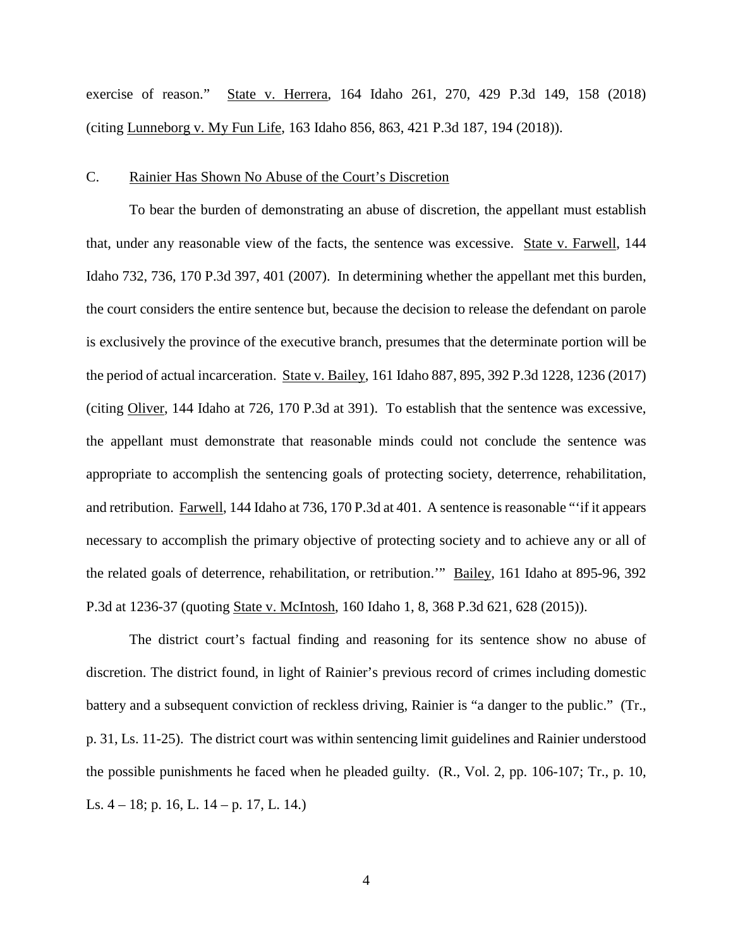exercise of reason." State v. Herrera, 164 Idaho 261, 270, 429 P.3d 149, 158 (2018) (citing Lunneborg v. My Fun Life, 163 Idaho 856, 863, 421 P.3d 187, 194 (2018)).

#### C. Rainier Has Shown No Abuse of the Court's Discretion

To bear the burden of demonstrating an abuse of discretion, the appellant must establish that, under any reasonable view of the facts, the sentence was excessive. State v. Farwell, 144 Idaho 732, 736, 170 P.3d 397, 401 (2007). In determining whether the appellant met this burden, the court considers the entire sentence but, because the decision to release the defendant on parole is exclusively the province of the executive branch, presumes that the determinate portion will be the period of actual incarceration. State v. Bailey, 161 Idaho 887, 895, 392 P.3d 1228, 1236 (2017) (citing Oliver, 144 Idaho at 726, 170 P.3d at 391). To establish that the sentence was excessive, the appellant must demonstrate that reasonable minds could not conclude the sentence was appropriate to accomplish the sentencing goals of protecting society, deterrence, rehabilitation, and retribution. Farwell, 144 Idaho at 736, 170 P.3d at 401. A sentence is reasonable "'if it appears necessary to accomplish the primary objective of protecting society and to achieve any or all of the related goals of deterrence, rehabilitation, or retribution.'" Bailey, 161 Idaho at 895-96, 392 P.3d at 1236-37 (quoting State v. McIntosh, 160 Idaho 1, 8, 368 P.3d 621, 628 (2015)).

The district court's factual finding and reasoning for its sentence show no abuse of discretion. The district found, in light of Rainier's previous record of crimes including domestic battery and a subsequent conviction of reckless driving, Rainier is "a danger to the public." (Tr., p. 31, Ls. 11-25). The district court was within sentencing limit guidelines and Rainier understood the possible punishments he faced when he pleaded guilty. (R., Vol. 2, pp. 106-107; Tr., p. 10, Ls. 4 – 18; p. 16, L. 14 – p. 17, L. 14.)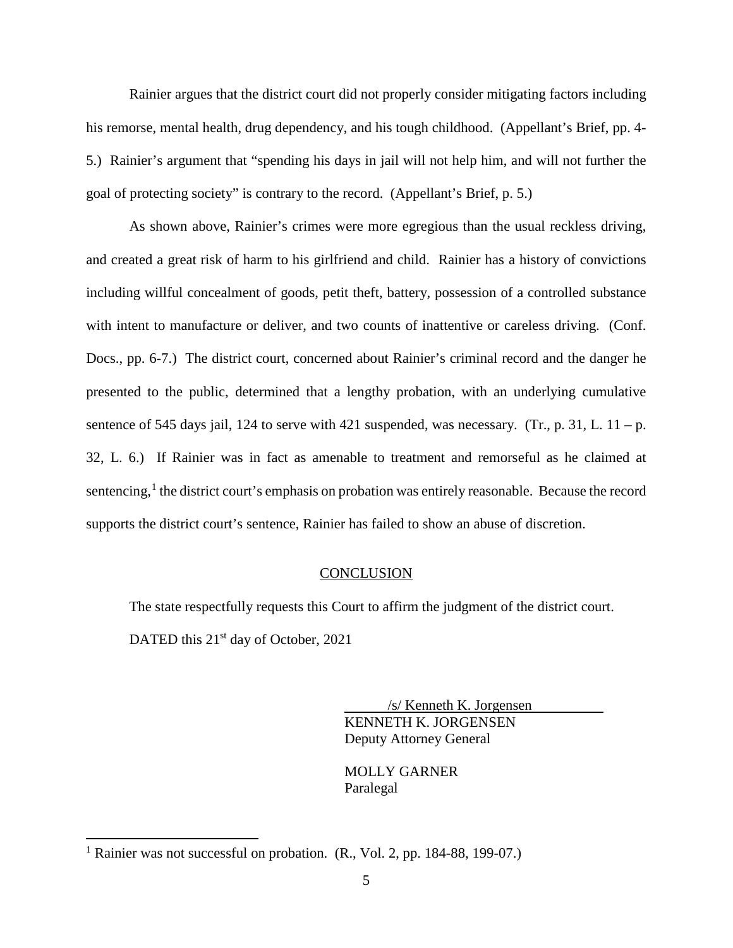Rainier argues that the district court did not properly consider mitigating factors including his remorse, mental health, drug dependency, and his tough childhood. (Appellant's Brief, pp. 4- 5.) Rainier's argument that "spending his days in jail will not help him, and will not further the goal of protecting society" is contrary to the record. (Appellant's Brief, p. 5.)

As shown above, Rainier's crimes were more egregious than the usual reckless driving, and created a great risk of harm to his girlfriend and child. Rainier has a history of convictions including willful concealment of goods, petit theft, battery, possession of a controlled substance with intent to manufacture or deliver, and two counts of inattentive or careless driving. (Conf. Docs., pp. 6-7.) The district court, concerned about Rainier's criminal record and the danger he presented to the public, determined that a lengthy probation, with an underlying cumulative sentence of 545 days jail, 124 to serve with 421 suspended, was necessary. (Tr., p. 31, L.  $11 - p$ .) 32, L. 6.) If Rainier was in fact as amenable to treatment and remorseful as he claimed at sentencing,<sup>[1](#page-5-0)</sup> the district court's emphasis on probation was entirely reasonable. Because the record supports the district court's sentence, Rainier has failed to show an abuse of discretion.

#### **CONCLUSION**

The state respectfully requests this Court to affirm the judgment of the district court. DATED this 21<sup>st</sup> day of October, 2021

> /s/ Kenneth K. Jorgensen KENNETH K. JORGENSEN Deputy Attorney General

 MOLLY GARNER Paralegal

 $\overline{a}$ 

<span id="page-5-0"></span><sup>&</sup>lt;sup>1</sup> Rainier was not successful on probation. (R., Vol. 2, pp. 184-88, 199-07.)